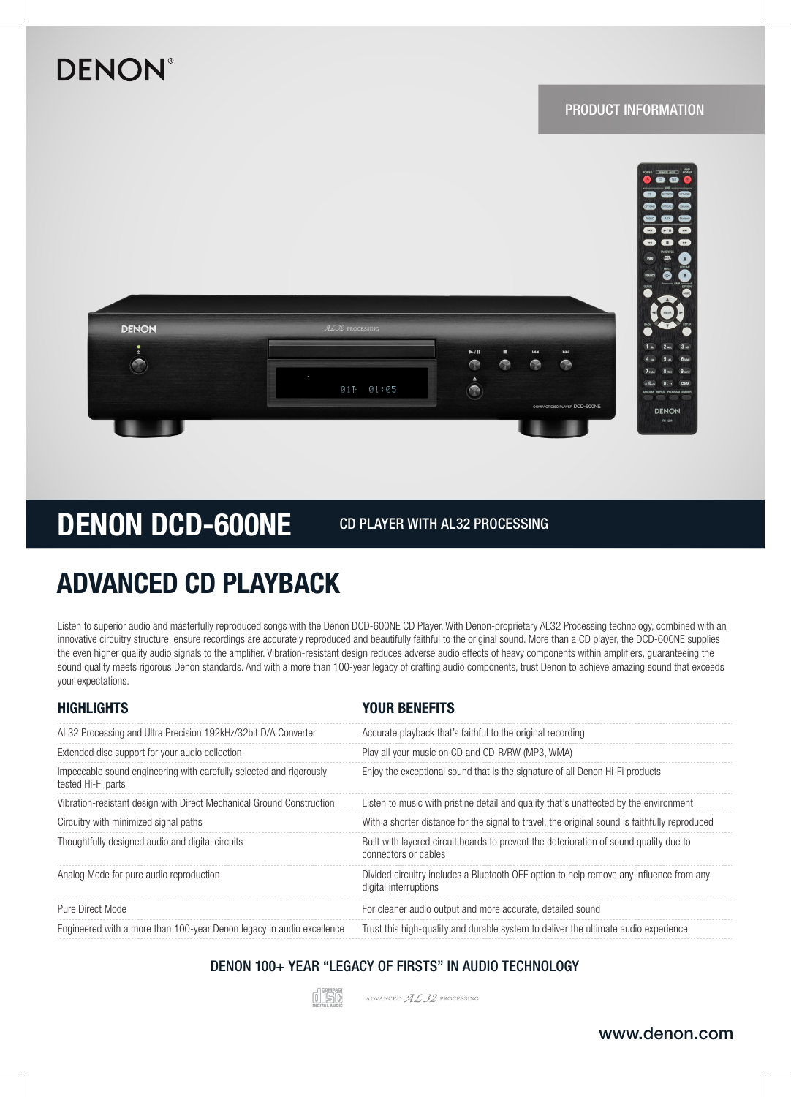# **DENON®**

### PRODUCT INFORMATION



# DENON DCD-600NE

CD PLAYER WITH AL32 PROCESSING

## ADVANCED CD PLAYBACK

Listen to superior audio and masterfully reproduced songs with the Denon DCD-600NE CD Player. With Denon-proprietary AL32 Processing technology, combined with an innovative circuitry structure, ensure recordings are accurately reproduced and beautifully faithful to the original sound. More than a CD player, the DCD-600NE supplies the even higher quality audio signals to the amplifier. Vibration-resistant design reduces adverse audio effects of heavy components within amplifiers, guaranteeing the sound quality meets rigorous Denon standards. And with a more than 100-year legacy of crafting audio components, trust Denon to achieve amazing sound that exceeds your expectations.

| <b>HIGHLIGHTS</b>                                                                         | <b>YOUR BENEFITS</b>                                                                                             |
|-------------------------------------------------------------------------------------------|------------------------------------------------------------------------------------------------------------------|
| AL32 Processing and Ultra Precision 192kHz/32bit D/A Converter                            | Accurate playback that's faithful to the original recording                                                      |
| Extended disc support for your audio collection                                           | Play all your music on CD and CD-R/RW (MP3, WMA)                                                                 |
| Impeccable sound engineering with carefully selected and rigorously<br>tested Hi-Fi parts | Enjoy the exceptional sound that is the signature of all Denon Hi-Fi products                                    |
| Vibration-resistant design with Direct Mechanical Ground Construction                     | Listen to music with pristine detail and quality that's unaffected by the environment                            |
| Circuitry with minimized signal paths                                                     | With a shorter distance for the signal to travel, the original sound is faithfully reproduced                    |
| Thoughtfully designed audio and digital circuits                                          | Built with layered circuit boards to prevent the deterioration of sound quality due to<br>connectors or cables   |
| Analog Mode for pure audio reproduction                                                   | Divided circuitry includes a Bluetooth OFF option to help remove any influence from any<br>digital interruptions |
| Pure Direct Mode                                                                          | For cleaner audio output and more accurate, detailed sound                                                       |
| Engineered with a more than 100-year Denon legacy in audio excellence                     | Trust this high-quality and durable system to deliver the ultimate audio experience                              |
|                                                                                           |                                                                                                                  |

DENON 100+ YEAR "LEGACY OF FIRSTS" IN AUDIO TECHNOLOGY



ADVANCED  $\mathcal{ALB}$  Processing